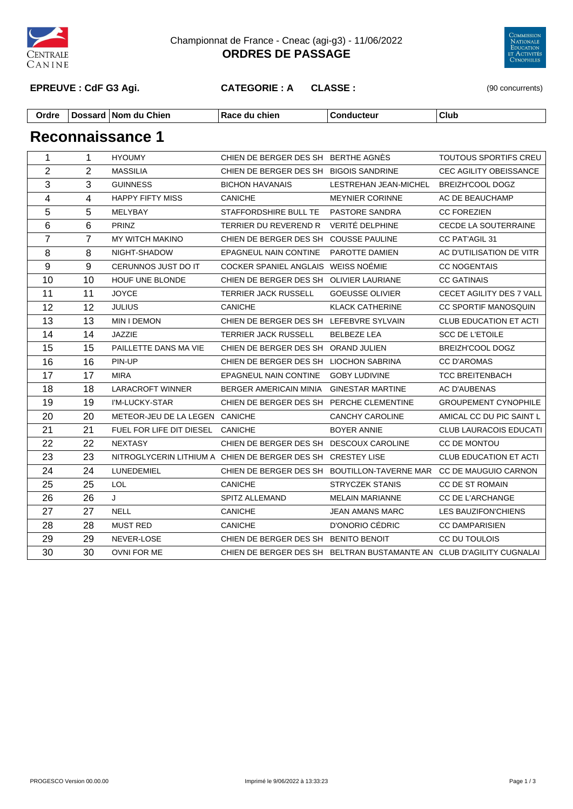

Championnat de France - Cneac (agi-g3) - 11/06/2022 **ORDRES DE PASSAGE**



**EPREUVE : CdF G3 Agi. CATEGORIE : A CLASSE :** (90 concurrents)

| Ordre | Dossaro | Chien<br>.<br>ı Nom alı | chier<br>. | . | Club |
|-------|---------|-------------------------|------------|---|------|
|-------|---------|-------------------------|------------|---|------|

| $\mathbf{1}$            | $\mathbf{1}$   | <b>HYOUMY</b>                    | CHIEN DE BERGER DES SH BERTHE AGNÉS                         |                                                                      | TOUTOUS SPORTIFS CREU         |
|-------------------------|----------------|----------------------------------|-------------------------------------------------------------|----------------------------------------------------------------------|-------------------------------|
| $\overline{2}$          | $\overline{2}$ | <b>MASSILIA</b>                  | CHIEN DE BERGER DES SH BIGOIS SANDRINE                      |                                                                      | <b>CEC AGILITY OBEISSANCE</b> |
| $\overline{3}$          | 3              | <b>GUINNESS</b>                  | <b>BICHON HAVANAIS</b>                                      | LESTREHAN JEAN-MICHEL                                                | BREIZH'COOL DOGZ              |
| $\overline{\mathbf{4}}$ | 4              | <b>HAPPY FIFTY MISS</b>          | <b>CANICHE</b>                                              | <b>MEYNIER CORINNE</b>                                               | AC DE BEAUCHAMP               |
| 5                       | 5              | MELYBAY                          | STAFFORDSHIRE BULL TE                                       | PASTORE SANDRA                                                       | <b>CC FOREZIEN</b>            |
| 6                       | 6              | <b>PRINZ</b>                     | TERRIER DU REVEREND R VERITÉ DELPHINE                       |                                                                      | CECDE LA SOUTERRAINE          |
| $\overline{7}$          | $\overline{7}$ | MY WITCH MAKINO                  | CHIEN DE BERGER DES SH COUSSE PAULINE                       |                                                                      | CC PAT'AGIL 31                |
| 8                       | 8              | NIGHT-SHADOW                     | EPAGNEUL NAIN CONTINE                                       | PAROTTE DAMIEN                                                       | AC D'UTILISATION DE VITR      |
| 9                       | 9              | CERUNNOS JUST DO IT              | COCKER SPANIEL ANGLAIS WEISS NOÉMIE                         |                                                                      | <b>CC NOGENTAIS</b>           |
| 10                      | 10             | HOUF UNE BLONDE                  | CHIEN DE BERGER DES SH OLIVIER LAURIANE                     |                                                                      | <b>CC GATINAIS</b>            |
| 11                      | 11             | <b>JOYCE</b>                     | <b>TERRIER JACK RUSSELL</b>                                 | <b>GOEUSSE OLIVIER</b>                                               | CECET AGILITY DES 7 VALL      |
| 12                      | 12             | <b>JULIUS</b>                    | <b>CANICHE</b>                                              | <b>KLACK CATHERINE</b>                                               | <b>CC SPORTIF MANOSQUIN</b>   |
| 13                      | 13             | MIN I DEMON                      | CHIEN DE BERGER DES SH LEFEBVRE SYLVAIN                     |                                                                      | <b>CLUB EDUCATION ET ACTI</b> |
| 14                      | 14             | <b>JAZZIE</b>                    | TERRIER JACK RUSSELL                                        | <b>BELBEZE LEA</b>                                                   | <b>SCC DE L'ETOILE</b>        |
| 15                      | 15             | PAILLETTE DANS MA VIE            | CHIEN DE BERGER DES SH ORAND JULIEN                         |                                                                      | BREIZH'COOL DOGZ              |
| 16                      | 16             | PIN-UP                           | CHIEN DE BERGER DES SH LIOCHON SABRINA                      |                                                                      | <b>CC D'AROMAS</b>            |
| 17                      | 17             | <b>MIRA</b>                      | <b>EPAGNEUL NAIN CONTINE</b>                                | <b>GOBY LUDIVINE</b>                                                 | <b>TCC BREITENBACH</b>        |
| 18                      | 18             | <b>LARACROFT WINNER</b>          | BERGER AMERICAIN MINIA                                      | <b>GINESTAR MARTINE</b>                                              | <b>AC D'AUBENAS</b>           |
| 19                      | 19             | I'M-LUCKY-STAR                   | CHIEN DE BERGER DES SH PERCHE CLEMENTINE                    |                                                                      | <b>GROUPEMENT CYNOPHILE</b>   |
| 20                      | 20             | METEOR-JEU DE LA LEGEN CANICHE   |                                                             | <b>CANCHY CAROLINE</b>                                               | AMICAL CC DU PIC SAINT L      |
| 21                      | 21             | FUEL FOR LIFE DIT DIESEL CANICHE |                                                             | <b>BOYER ANNIE</b>                                                   | <b>CLUB LAURACOIS EDUCATI</b> |
| 22                      | 22             | NEXTASY                          | CHIEN DE BERGER DES SH DESCOUX CAROLINE                     |                                                                      | CC DE MONTOU                  |
| 23                      | 23             |                                  | NITROGLYCERIN LITHIUM A CHIEN DE BERGER DES SH CRESTEY LISE |                                                                      | <b>CLUB EDUCATION ET ACTI</b> |
| 24                      | 24             | LUNEDEMIEL                       |                                                             | CHIEN DE BERGER DES SH BOUTILLON-TAVERNE MAR CC DE MAUGUIO CARNON    |                               |
| 25                      | 25             | <b>LOL</b>                       | <b>CANICHE</b>                                              | STRYCZEK STANIS                                                      | CC DE ST ROMAIN               |
| 26                      | 26             | J                                | SPITZ ALLEMAND                                              | <b>MELAIN MARIANNE</b>                                               | <b>CC DE L'ARCHANGE</b>       |
| 27                      | 27             | <b>NELL</b>                      | <b>CANICHE</b>                                              | <b>JEAN AMANS MARC</b>                                               | LES BAUZIFON'CHIENS           |
| 28                      | 28             | <b>MUST RED</b>                  | <b>CANICHE</b>                                              | D'ONORIO CÉDRIC                                                      | <b>CC DAMPARISIEN</b>         |
| 29                      | 29             | NEVER-LOSE                       | CHIEN DE BERGER DES SH BENITO BENOIT                        |                                                                      | CC DU TOULOIS                 |
| 30                      | 30             | OVNI FOR ME                      |                                                             | CHIEN DE BERGER DES SH BELTRAN BUSTAMANTE AN CLUB D'AGILITY CUGNALAI |                               |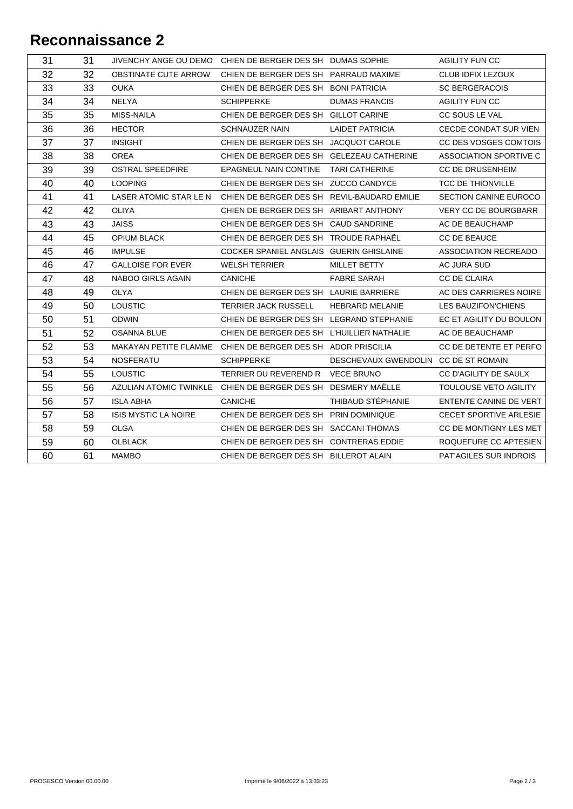| 31 | 31 |                             | JIVENCHY ANGE OU DEMO CHIEN DE BERGER DES SH DUMAS SOPHIE    |                                      | <b>AGILITY FUN CC</b>        |
|----|----|-----------------------------|--------------------------------------------------------------|--------------------------------------|------------------------------|
| 32 | 32 | OBSTINATE CUTE ARROW        | CHIEN DE BERGER DES SH PARRAUD MAXIME                        |                                      | CLUB IDFIX LEZOUX            |
| 33 | 33 | <b>OUKA</b>                 | CHIEN DE BERGER DES SH BONI PATRICIA                         |                                      | <b>SC BERGERACOIS</b>        |
| 34 | 34 | <b>NELYA</b>                | <b>SCHIPPERKE</b>                                            | <b>DUMAS FRANCIS</b>                 | <b>AGILITY FUN CC</b>        |
| 35 | 35 | <b>MISS-NAILA</b>           | CHIEN DE BERGER DES SH GILLOT CARINE                         |                                      | CC SOUS LE VAL               |
| 36 | 36 | <b>HECTOR</b>               | <b>SCHNAUZER NAIN</b>                                        | <b>LAIDET PATRICIA</b>               | CECDE CONDAT SUR VIEN        |
| 37 | 37 | <b>INSIGHT</b>              | CHIEN DE BERGER DES SH JACQUOT CAROLE                        |                                      | CC DES VOSGES COMTOIS        |
| 38 | 38 | <b>OREA</b>                 | CHIEN DE BERGER DES SH GELEZEAU CATHERINE                    |                                      | ASSOCIATION SPORTIVE C       |
| 39 | 39 | <b>OSTRAL SPEEDFIRE</b>     | EPAGNEUL NAIN CONTINE TARI CATHERINE                         |                                      | <b>CC DE DRUSENHEIM</b>      |
| 40 | 40 | <b>LOOPING</b>              | CHIEN DE BERGER DES SH ZUCCO CANDYCE                         |                                      | <b>TCC DE THIONVILLE</b>     |
| 41 | 41 | LASER ATOMIC STAR LE N      | CHIEN DE BERGER DES SH REVIL-BAUDARD EMILIE                  |                                      | <b>SECTION CANINE EUROCO</b> |
| 42 | 42 | <b>OLIYA</b>                | CHIEN DE BERGER DES SH ARIBART ANTHONY                       |                                      | <b>VERY CC DE BOURGBARR</b>  |
| 43 | 43 | <b>JAISS</b>                | CHIEN DE BERGER DES SH CAUD SANDRINE                         |                                      | AC DE BEAUCHAMP              |
| 44 | 45 | <b>OPIUM BLACK</b>          | CHIEN DE BERGER DES SH TROUDE RAPHAËL                        |                                      | CC DE BEAUCE                 |
| 45 | 46 | <b>IMPULSE</b>              | COCKER SPANIEL ANGLAIS GUERIN GHISLAINE                      |                                      | ASSOCIATION RECREADO         |
| 46 | 47 | <b>GALLOISE FOR EVER</b>    | <b>WELSH TERRIER</b>                                         | MILLET BETTY                         | AC JURA SUD                  |
| 47 | 48 | NABOO GIRLS AGAIN           | <b>CANICHE</b>                                               | <b>FABRE SARAH</b>                   | <b>CC DE CLAIRA</b>          |
| 48 | 49 | OLYA                        | CHIEN DE BERGER DES SH LAURIE BARRIERE                       |                                      | AC DES CARRIERES NOIRE       |
| 49 | 50 | <b>LOUSTIC</b>              | <b>TERRIER JACK RUSSELL</b>                                  | <b>HEBRARD MELANIE</b>               | LES BAUZIFON'CHIENS          |
| 50 | 51 | <b>ODWIN</b>                | CHIEN DE BERGER DES SH LEGRAND STEPHANIE                     |                                      | EC ET AGILITY DU BOULON      |
| 51 | 52 | <b>OSANNA BLUE</b>          | CHIEN DE BERGER DES SH L'HUILLIER NATHALIE                   |                                      | AC DE BEAUCHAMP              |
| 52 | 53 |                             | MAKAYAN PETITE FLAMME CHIEN DE BERGER DES SH ADOR PRISCILIA  |                                      | CC DE DETENTE ET PERFO       |
| 53 | 54 | <b>NOSFERATU</b>            | <b>SCHIPPERKE</b>                                            | DESCHEVAUX GWENDOLIN CC DE ST ROMAIN |                              |
| 54 | 55 | <b>LOUSTIC</b>              | TERRIER DU REVEREND R VECE BRUNO                             |                                      | CC D'AGILITY DE SAULX        |
| 55 | 56 |                             | AZULIAN ATOMIC TWINKLE CHIEN DE BERGER DES SH DESMERY MAËLLE |                                      | TOULOUSE VETO AGILITY        |
| 56 | 57 | <b>ISLA ABHA</b>            | <b>CANICHE</b>                                               | THIBAUD STÉPHANIE                    | ENTENTE CANINE DE VERT       |
| 57 | 58 | <b>ISIS MYSTIC LA NOIRE</b> | CHIEN DE BERGER DES SH PRIN DOMINIQUE                        |                                      | CECET SPORTIVE ARLESIE       |
| 58 | 59 | <b>OLGA</b>                 | CHIEN DE BERGER DES SH SACCANI THOMAS                        |                                      | CC DE MONTIGNY LES MET       |
| 59 | 60 | <b>OLBLACK</b>              | CHIEN DE BERGER DES SH CONTRERAS EDDIE                       |                                      | ROQUEFURE CC APTESIEN        |
| 60 | 61 | <b>MAMBO</b>                | CHIEN DE BERGER DES SH BILLEROT ALAIN                        |                                      | PAT'AGILES SUR INDROIS       |
|    |    |                             |                                                              |                                      |                              |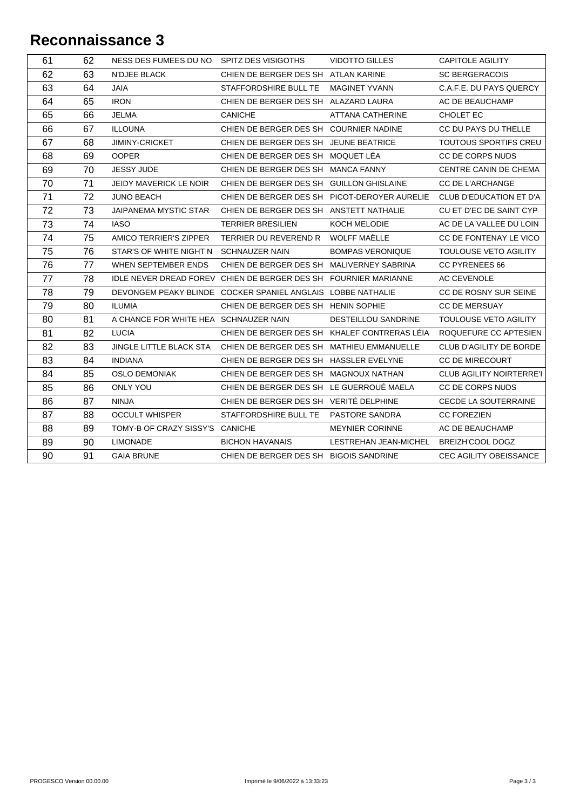| 62<br>63<br><b>N'DJEE BLACK</b><br>CHIEN DE BERGER DES SHATLAN KARINE<br><b>SC BERGERACOIS</b><br>63<br>64<br><b>JAIA</b><br>STAFFORDSHIRE BULL TE<br><b>MAGINET YVANN</b><br>C.A.F.E. DU PAYS QUERCY<br>64<br>65<br><b>IRON</b><br>CHIEN DE BERGER DES SH ALAZARD LAURA<br>AC DE BEAUCHAMP<br>65<br>66<br><b>JELMA</b><br><b>CANICHE</b><br><b>ATTANA CATHERINE</b><br>CHOLET EC<br>66<br>67<br><b>ILLOUNA</b><br>CHIEN DE BERGER DES SH COURNIER NADINE<br>CC DU PAYS DU THELLE<br>67<br><b>JIMINY-CRICKET</b><br>CHIEN DE BERGER DES SH JEUNE BEATRICE<br><b>TOUTOUS SPORTIFS CREU</b><br>68<br><b>OOPER</b><br>CHIEN DE BERGER DES SH MOQUET LÉA<br>68<br>69<br>CC DE CORPS NUDS<br>69<br>70<br><b>JESSY JUDE</b><br>CHIEN DE BERGER DES SH MANCA FANNY<br>CENTRE CANIN DE CHEMA<br>70<br>71<br>JEIDY MAVERICK LE NOIR<br>CHIEN DE BERGER DES SH GUILLON GHISLAINE<br><b>CC DE L'ARCHANGE</b><br>71<br>72<br><b>JUNO BEACH</b><br>CHIEN DE BERGER DES SH PICOT-DEROYER AURELIE<br>CLUB D'EDUCATION ET D'A<br>72<br>73<br>JAIPANEMA MYSTIC STAR<br>CHIEN DE BERGER DES SH ANSTETT NATHALIE<br>CU ET D'EC DE SAINT CYP<br>73<br>74<br><b>IASO</b><br><b>TERRIER BRESILIEN</b><br>AC DE LA VALLEE DU LOIN<br>KOCH MELODIE<br><b>WOLFF MAËLLE</b><br>74<br>AMICO TERRIER'S ZIPPER<br>CC DE FONTENAY LE VICO<br>75<br>TERRIER DU REVEREND R<br>75<br>76<br><b>BOMPAS VERONIQUE</b><br>TOULOUSE VETO AGILITY<br>STAR'S OF WHITE NIGHT N SCHNAUZER NAIN<br>76<br>77<br>WHEN SEPTEMBER ENDS<br>CHIEN DE BERGER DES SH MALIVERNEY SABRINA<br><b>CC PYRENEES 66</b><br>77<br>78<br>IDLE NEVER DREAD FOREV CHIEN DE BERGER DES SH FOURNIER MARIANNE<br><b>AC CEVENOLE</b><br>78<br>79<br>CC DE ROSNY SUR SEINE<br>DEVONGEM PEAKY BLINDE COCKER SPANIEL ANGLAIS LOBBE NATHALIE<br>79<br>80<br><b>ILUMIA</b><br>CHIEN DE BERGER DES SH HENIN SOPHIE<br><b>CC DE MERSUAY</b><br>80<br>81<br>A CHANCE FOR WHITE HEA SCHNAUZER NAIN<br>DESTEILLOU SANDRINE<br>TOULOUSE VETO AGILITY<br>81<br>82<br><b>LUCIA</b><br>CHIEN DE BERGER DES SH KHALEF CONTRERAS LÉIA<br>82<br>83<br><b>JINGLE LITTLE BLACK STA</b><br>CHIEN DE BERGER DES SH MATHIEU EMMANUELLE<br>CLUB D'AGILITY DE BORDE<br>83<br>84<br><b>INDIANA</b><br>CHIEN DE BERGER DES SH HASSLER EVELYNE<br>CC DE MIRECOURT<br>84<br>85<br><b>OSLO DEMONIAK</b><br>CHIEN DE BERGER DES SH MAGNOUX NATHAN<br>85<br>86<br>CHIEN DE BERGER DES SH LE GUERROUÉ MAELA<br><b>ONLY YOU</b><br>CC DE CORPS NUDS<br>86<br>87<br>CHIEN DE BERGER DES SH VERITÉ DELPHINE<br><b>NINJA</b><br><b>CECDE LA SOUTERRAINE</b><br>87<br>88<br><b>OCCULT WHISPER</b><br>STAFFORDSHIRE BULL TE<br>PASTORE SANDRA<br><b>CC FOREZIEN</b><br>88<br>89<br>TOMY-B OF CRAZY SISSY'S CANICHE<br><b>MEYNIER CORINNE</b><br>AC DE BEAUCHAMP<br>89<br>90<br><b>LIMONADE</b><br><b>BICHON HAVANAIS</b><br>LESTREHAN JEAN-MICHEL<br><b>BREIZH'COOL DOGZ</b><br>90<br>91<br><b>GAIA BRUNE</b><br>CHIEN DE BERGER DES SH BIGOIS SANDRINE<br>CEC AGILITY OBEISSANCE | 61 | 62 | NESS DES FUMEES DU NO SPITZ DES VISIGOTHS | <b>VIDOTTO GILLES</b> | <b>CAPITOLE AGILITY</b>         |
|---------------------------------------------------------------------------------------------------------------------------------------------------------------------------------------------------------------------------------------------------------------------------------------------------------------------------------------------------------------------------------------------------------------------------------------------------------------------------------------------------------------------------------------------------------------------------------------------------------------------------------------------------------------------------------------------------------------------------------------------------------------------------------------------------------------------------------------------------------------------------------------------------------------------------------------------------------------------------------------------------------------------------------------------------------------------------------------------------------------------------------------------------------------------------------------------------------------------------------------------------------------------------------------------------------------------------------------------------------------------------------------------------------------------------------------------------------------------------------------------------------------------------------------------------------------------------------------------------------------------------------------------------------------------------------------------------------------------------------------------------------------------------------------------------------------------------------------------------------------------------------------------------------------------------------------------------------------------------------------------------------------------------------------------------------------------------------------------------------------------------------------------------------------------------------------------------------------------------------------------------------------------------------------------------------------------------------------------------------------------------------------------------------------------------------------------------------------------------------------------------------------------------------------------------------------------------------------------------------------------------------------------------------------------------------------------------------------------------------------------------------------------------------------------------------------------------------------------------------------------------------------------------------------------------------------------------------------------------|----|----|-------------------------------------------|-----------------------|---------------------------------|
|                                                                                                                                                                                                                                                                                                                                                                                                                                                                                                                                                                                                                                                                                                                                                                                                                                                                                                                                                                                                                                                                                                                                                                                                                                                                                                                                                                                                                                                                                                                                                                                                                                                                                                                                                                                                                                                                                                                                                                                                                                                                                                                                                                                                                                                                                                                                                                                                                                                                                                                                                                                                                                                                                                                                                                                                                                                                                                                                                                           |    |    |                                           |                       |                                 |
|                                                                                                                                                                                                                                                                                                                                                                                                                                                                                                                                                                                                                                                                                                                                                                                                                                                                                                                                                                                                                                                                                                                                                                                                                                                                                                                                                                                                                                                                                                                                                                                                                                                                                                                                                                                                                                                                                                                                                                                                                                                                                                                                                                                                                                                                                                                                                                                                                                                                                                                                                                                                                                                                                                                                                                                                                                                                                                                                                                           |    |    |                                           |                       |                                 |
|                                                                                                                                                                                                                                                                                                                                                                                                                                                                                                                                                                                                                                                                                                                                                                                                                                                                                                                                                                                                                                                                                                                                                                                                                                                                                                                                                                                                                                                                                                                                                                                                                                                                                                                                                                                                                                                                                                                                                                                                                                                                                                                                                                                                                                                                                                                                                                                                                                                                                                                                                                                                                                                                                                                                                                                                                                                                                                                                                                           |    |    |                                           |                       |                                 |
|                                                                                                                                                                                                                                                                                                                                                                                                                                                                                                                                                                                                                                                                                                                                                                                                                                                                                                                                                                                                                                                                                                                                                                                                                                                                                                                                                                                                                                                                                                                                                                                                                                                                                                                                                                                                                                                                                                                                                                                                                                                                                                                                                                                                                                                                                                                                                                                                                                                                                                                                                                                                                                                                                                                                                                                                                                                                                                                                                                           |    |    |                                           |                       |                                 |
|                                                                                                                                                                                                                                                                                                                                                                                                                                                                                                                                                                                                                                                                                                                                                                                                                                                                                                                                                                                                                                                                                                                                                                                                                                                                                                                                                                                                                                                                                                                                                                                                                                                                                                                                                                                                                                                                                                                                                                                                                                                                                                                                                                                                                                                                                                                                                                                                                                                                                                                                                                                                                                                                                                                                                                                                                                                                                                                                                                           |    |    |                                           |                       |                                 |
|                                                                                                                                                                                                                                                                                                                                                                                                                                                                                                                                                                                                                                                                                                                                                                                                                                                                                                                                                                                                                                                                                                                                                                                                                                                                                                                                                                                                                                                                                                                                                                                                                                                                                                                                                                                                                                                                                                                                                                                                                                                                                                                                                                                                                                                                                                                                                                                                                                                                                                                                                                                                                                                                                                                                                                                                                                                                                                                                                                           |    |    |                                           |                       |                                 |
|                                                                                                                                                                                                                                                                                                                                                                                                                                                                                                                                                                                                                                                                                                                                                                                                                                                                                                                                                                                                                                                                                                                                                                                                                                                                                                                                                                                                                                                                                                                                                                                                                                                                                                                                                                                                                                                                                                                                                                                                                                                                                                                                                                                                                                                                                                                                                                                                                                                                                                                                                                                                                                                                                                                                                                                                                                                                                                                                                                           |    |    |                                           |                       |                                 |
|                                                                                                                                                                                                                                                                                                                                                                                                                                                                                                                                                                                                                                                                                                                                                                                                                                                                                                                                                                                                                                                                                                                                                                                                                                                                                                                                                                                                                                                                                                                                                                                                                                                                                                                                                                                                                                                                                                                                                                                                                                                                                                                                                                                                                                                                                                                                                                                                                                                                                                                                                                                                                                                                                                                                                                                                                                                                                                                                                                           |    |    |                                           |                       |                                 |
|                                                                                                                                                                                                                                                                                                                                                                                                                                                                                                                                                                                                                                                                                                                                                                                                                                                                                                                                                                                                                                                                                                                                                                                                                                                                                                                                                                                                                                                                                                                                                                                                                                                                                                                                                                                                                                                                                                                                                                                                                                                                                                                                                                                                                                                                                                                                                                                                                                                                                                                                                                                                                                                                                                                                                                                                                                                                                                                                                                           |    |    |                                           |                       |                                 |
|                                                                                                                                                                                                                                                                                                                                                                                                                                                                                                                                                                                                                                                                                                                                                                                                                                                                                                                                                                                                                                                                                                                                                                                                                                                                                                                                                                                                                                                                                                                                                                                                                                                                                                                                                                                                                                                                                                                                                                                                                                                                                                                                                                                                                                                                                                                                                                                                                                                                                                                                                                                                                                                                                                                                                                                                                                                                                                                                                                           |    |    |                                           |                       |                                 |
|                                                                                                                                                                                                                                                                                                                                                                                                                                                                                                                                                                                                                                                                                                                                                                                                                                                                                                                                                                                                                                                                                                                                                                                                                                                                                                                                                                                                                                                                                                                                                                                                                                                                                                                                                                                                                                                                                                                                                                                                                                                                                                                                                                                                                                                                                                                                                                                                                                                                                                                                                                                                                                                                                                                                                                                                                                                                                                                                                                           |    |    |                                           |                       |                                 |
|                                                                                                                                                                                                                                                                                                                                                                                                                                                                                                                                                                                                                                                                                                                                                                                                                                                                                                                                                                                                                                                                                                                                                                                                                                                                                                                                                                                                                                                                                                                                                                                                                                                                                                                                                                                                                                                                                                                                                                                                                                                                                                                                                                                                                                                                                                                                                                                                                                                                                                                                                                                                                                                                                                                                                                                                                                                                                                                                                                           |    |    |                                           |                       |                                 |
|                                                                                                                                                                                                                                                                                                                                                                                                                                                                                                                                                                                                                                                                                                                                                                                                                                                                                                                                                                                                                                                                                                                                                                                                                                                                                                                                                                                                                                                                                                                                                                                                                                                                                                                                                                                                                                                                                                                                                                                                                                                                                                                                                                                                                                                                                                                                                                                                                                                                                                                                                                                                                                                                                                                                                                                                                                                                                                                                                                           |    |    |                                           |                       |                                 |
|                                                                                                                                                                                                                                                                                                                                                                                                                                                                                                                                                                                                                                                                                                                                                                                                                                                                                                                                                                                                                                                                                                                                                                                                                                                                                                                                                                                                                                                                                                                                                                                                                                                                                                                                                                                                                                                                                                                                                                                                                                                                                                                                                                                                                                                                                                                                                                                                                                                                                                                                                                                                                                                                                                                                                                                                                                                                                                                                                                           |    |    |                                           |                       |                                 |
|                                                                                                                                                                                                                                                                                                                                                                                                                                                                                                                                                                                                                                                                                                                                                                                                                                                                                                                                                                                                                                                                                                                                                                                                                                                                                                                                                                                                                                                                                                                                                                                                                                                                                                                                                                                                                                                                                                                                                                                                                                                                                                                                                                                                                                                                                                                                                                                                                                                                                                                                                                                                                                                                                                                                                                                                                                                                                                                                                                           |    |    |                                           |                       |                                 |
|                                                                                                                                                                                                                                                                                                                                                                                                                                                                                                                                                                                                                                                                                                                                                                                                                                                                                                                                                                                                                                                                                                                                                                                                                                                                                                                                                                                                                                                                                                                                                                                                                                                                                                                                                                                                                                                                                                                                                                                                                                                                                                                                                                                                                                                                                                                                                                                                                                                                                                                                                                                                                                                                                                                                                                                                                                                                                                                                                                           |    |    |                                           |                       |                                 |
|                                                                                                                                                                                                                                                                                                                                                                                                                                                                                                                                                                                                                                                                                                                                                                                                                                                                                                                                                                                                                                                                                                                                                                                                                                                                                                                                                                                                                                                                                                                                                                                                                                                                                                                                                                                                                                                                                                                                                                                                                                                                                                                                                                                                                                                                                                                                                                                                                                                                                                                                                                                                                                                                                                                                                                                                                                                                                                                                                                           |    |    |                                           |                       |                                 |
|                                                                                                                                                                                                                                                                                                                                                                                                                                                                                                                                                                                                                                                                                                                                                                                                                                                                                                                                                                                                                                                                                                                                                                                                                                                                                                                                                                                                                                                                                                                                                                                                                                                                                                                                                                                                                                                                                                                                                                                                                                                                                                                                                                                                                                                                                                                                                                                                                                                                                                                                                                                                                                                                                                                                                                                                                                                                                                                                                                           |    |    |                                           |                       |                                 |
|                                                                                                                                                                                                                                                                                                                                                                                                                                                                                                                                                                                                                                                                                                                                                                                                                                                                                                                                                                                                                                                                                                                                                                                                                                                                                                                                                                                                                                                                                                                                                                                                                                                                                                                                                                                                                                                                                                                                                                                                                                                                                                                                                                                                                                                                                                                                                                                                                                                                                                                                                                                                                                                                                                                                                                                                                                                                                                                                                                           |    |    |                                           |                       |                                 |
|                                                                                                                                                                                                                                                                                                                                                                                                                                                                                                                                                                                                                                                                                                                                                                                                                                                                                                                                                                                                                                                                                                                                                                                                                                                                                                                                                                                                                                                                                                                                                                                                                                                                                                                                                                                                                                                                                                                                                                                                                                                                                                                                                                                                                                                                                                                                                                                                                                                                                                                                                                                                                                                                                                                                                                                                                                                                                                                                                                           |    |    |                                           |                       | ROQUEFURE CC APTESIEN           |
|                                                                                                                                                                                                                                                                                                                                                                                                                                                                                                                                                                                                                                                                                                                                                                                                                                                                                                                                                                                                                                                                                                                                                                                                                                                                                                                                                                                                                                                                                                                                                                                                                                                                                                                                                                                                                                                                                                                                                                                                                                                                                                                                                                                                                                                                                                                                                                                                                                                                                                                                                                                                                                                                                                                                                                                                                                                                                                                                                                           |    |    |                                           |                       |                                 |
|                                                                                                                                                                                                                                                                                                                                                                                                                                                                                                                                                                                                                                                                                                                                                                                                                                                                                                                                                                                                                                                                                                                                                                                                                                                                                                                                                                                                                                                                                                                                                                                                                                                                                                                                                                                                                                                                                                                                                                                                                                                                                                                                                                                                                                                                                                                                                                                                                                                                                                                                                                                                                                                                                                                                                                                                                                                                                                                                                                           |    |    |                                           |                       |                                 |
|                                                                                                                                                                                                                                                                                                                                                                                                                                                                                                                                                                                                                                                                                                                                                                                                                                                                                                                                                                                                                                                                                                                                                                                                                                                                                                                                                                                                                                                                                                                                                                                                                                                                                                                                                                                                                                                                                                                                                                                                                                                                                                                                                                                                                                                                                                                                                                                                                                                                                                                                                                                                                                                                                                                                                                                                                                                                                                                                                                           |    |    |                                           |                       | <b>CLUB AGILITY NOIRTERRE'I</b> |
|                                                                                                                                                                                                                                                                                                                                                                                                                                                                                                                                                                                                                                                                                                                                                                                                                                                                                                                                                                                                                                                                                                                                                                                                                                                                                                                                                                                                                                                                                                                                                                                                                                                                                                                                                                                                                                                                                                                                                                                                                                                                                                                                                                                                                                                                                                                                                                                                                                                                                                                                                                                                                                                                                                                                                                                                                                                                                                                                                                           |    |    |                                           |                       |                                 |
|                                                                                                                                                                                                                                                                                                                                                                                                                                                                                                                                                                                                                                                                                                                                                                                                                                                                                                                                                                                                                                                                                                                                                                                                                                                                                                                                                                                                                                                                                                                                                                                                                                                                                                                                                                                                                                                                                                                                                                                                                                                                                                                                                                                                                                                                                                                                                                                                                                                                                                                                                                                                                                                                                                                                                                                                                                                                                                                                                                           |    |    |                                           |                       |                                 |
|                                                                                                                                                                                                                                                                                                                                                                                                                                                                                                                                                                                                                                                                                                                                                                                                                                                                                                                                                                                                                                                                                                                                                                                                                                                                                                                                                                                                                                                                                                                                                                                                                                                                                                                                                                                                                                                                                                                                                                                                                                                                                                                                                                                                                                                                                                                                                                                                                                                                                                                                                                                                                                                                                                                                                                                                                                                                                                                                                                           |    |    |                                           |                       |                                 |
|                                                                                                                                                                                                                                                                                                                                                                                                                                                                                                                                                                                                                                                                                                                                                                                                                                                                                                                                                                                                                                                                                                                                                                                                                                                                                                                                                                                                                                                                                                                                                                                                                                                                                                                                                                                                                                                                                                                                                                                                                                                                                                                                                                                                                                                                                                                                                                                                                                                                                                                                                                                                                                                                                                                                                                                                                                                                                                                                                                           |    |    |                                           |                       |                                 |
|                                                                                                                                                                                                                                                                                                                                                                                                                                                                                                                                                                                                                                                                                                                                                                                                                                                                                                                                                                                                                                                                                                                                                                                                                                                                                                                                                                                                                                                                                                                                                                                                                                                                                                                                                                                                                                                                                                                                                                                                                                                                                                                                                                                                                                                                                                                                                                                                                                                                                                                                                                                                                                                                                                                                                                                                                                                                                                                                                                           |    |    |                                           |                       |                                 |
|                                                                                                                                                                                                                                                                                                                                                                                                                                                                                                                                                                                                                                                                                                                                                                                                                                                                                                                                                                                                                                                                                                                                                                                                                                                                                                                                                                                                                                                                                                                                                                                                                                                                                                                                                                                                                                                                                                                                                                                                                                                                                                                                                                                                                                                                                                                                                                                                                                                                                                                                                                                                                                                                                                                                                                                                                                                                                                                                                                           |    |    |                                           |                       |                                 |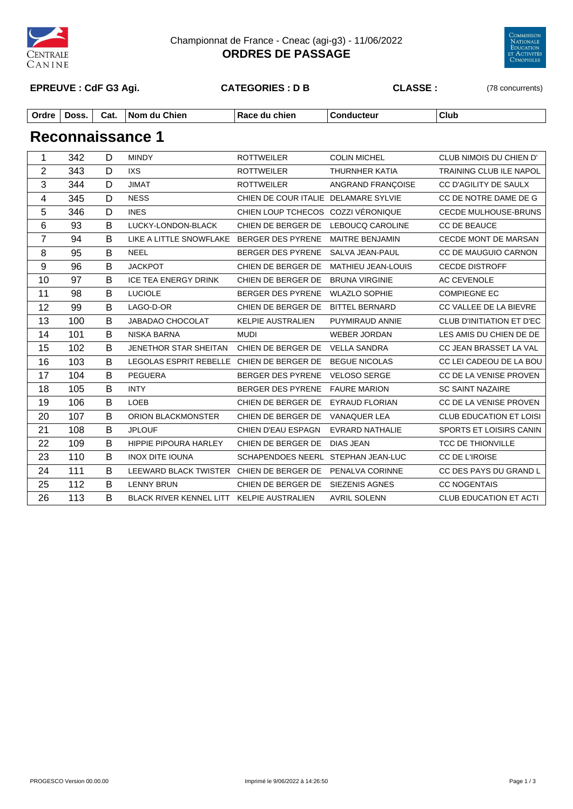

#### Championnat de France - Cneac (agi-g3) - 11/06/2022 **ORDRES DE PASSAGE**



#### **EPREUVE : CdF G3 Agi. CATEGORIES : D B CLASSE :** (78 concurrents)

| Ordre | Doss. | Cat. | Chien<br>. Nom du | Race<br>chien<br>∙au | onduc<br>ucteur | Club |
|-------|-------|------|-------------------|----------------------|-----------------|------|
|       |       |      |                   |                      |                 |      |

| $\mathbf 1$      | 342 | D | <b>MINDY</b>                              | <b>ROTTWEILER</b>                    | <b>COLIN MICHEL</b>       | CLUB NIMOIS DU CHIEN D'        |
|------------------|-----|---|-------------------------------------------|--------------------------------------|---------------------------|--------------------------------|
| $\overline{2}$   | 343 | D | <b>IXS</b>                                | <b>ROTTWEILER</b>                    | <b>THURNHER KATIA</b>     | TRAINING CLUB ILE NAPOL        |
| 3                | 344 | D | <b>JIMAT</b>                              | <b>ROTTWEILER</b>                    | ANGRAND FRANÇOISE         | CC D'AGILITY DE SAULX          |
| 4                | 345 | D | <b>NESS</b>                               | CHIEN DE COUR ITALIE DELAMARE SYLVIE |                           | CC DE NOTRE DAME DE G          |
| 5                | 346 | D | <b>INES</b>                               | CHIEN LOUP TCHECOS COZZI VÉRONIQUE   |                           | CECDE MULHOUSE-BRUNS           |
| $\,6\,$          | 93  | B | LUCKY-LONDON-BLACK                        | CHIEN DE BERGER DE                   | LEBOUCQ CAROLINE          | CC DE BEAUCE                   |
| $\overline{7}$   | 94  | B | LIKE A LITTLE SNOWFLAKE BERGER DES PYRENE |                                      | <b>MAITRE BENJAMIN</b>    | <b>CECDE MONT DE MARSAN</b>    |
| 8                | 95  | B | <b>NEEL</b>                               | BERGER DES PYRENE                    | SALVA JEAN-PAUL           | CC DE MAUGUIO CARNON           |
| $\boldsymbol{9}$ | 96  | B | <b>JACKPOT</b>                            | CHIEN DE BERGER DE                   | <b>MATHIEU JEAN-LOUIS</b> | <b>CECDE DISTROFF</b>          |
| 10               | 97  | B | <b>ICE TEA ENERGY DRINK</b>               | CHIEN DE BERGER DE                   | <b>BRUNA VIRGINIE</b>     | AC CEVENOLE                    |
| 11               | 98  | B | <b>LUCIOLE</b>                            | BERGER DES PYRENE                    | <b>WLAZLO SOPHIE</b>      | <b>COMPIEGNE EC</b>            |
| 12               | 99  | B | LAGO-D-OR                                 | CHIEN DE BERGER DE                   | <b>BITTEL BERNARD</b>     | CC VALLEE DE LA BIEVRE         |
| 13               | 100 | B | JABADAO CHOCOLAT                          | <b>KELPIE AUSTRALIEN</b>             | PUYMIRAUD ANNIE           | CLUB D'INITIATION ET D'EC      |
| 14               | 101 | B | NISKA BARNA                               | <b>MUDI</b>                          | <b>WEBER JORDAN</b>       | LES AMIS DU CHIEN DE DE        |
| 15               | 102 | B | JENETHOR STAR SHEITAN CHIEN DE BERGER DE  |                                      | <b>VELLA SANDRA</b>       | CC JEAN BRASSET LA VAL         |
| 16               | 103 | B | LEGOLAS ESPRIT REBELLE CHIEN DE BERGER DE |                                      | <b>BEGUE NICOLAS</b>      | CC LEI CADEOU DE LA BOU        |
| 17               | 104 | B | <b>PEGUERA</b>                            | BERGER DES PYRENE                    | <b>VELOSO SERGE</b>       | CC DE LA VENISE PROVEN         |
| 18               | 105 | B | <b>INTY</b>                               | BERGER DES PYRENE                    | <b>FAURE MARION</b>       | <b>SC SAINT NAZAIRE</b>        |
| 19               | 106 | B | LOEB                                      | CHIEN DE BERGER DE                   | <b>EYRAUD FLORIAN</b>     | CC DE LA VENISE PROVEN         |
| 20               | 107 | B | ORION BLACKMONSTER                        | CHIEN DE BERGER DE                   | <b>VANAQUER LEA</b>       | <b>CLUB EDUCATION ET LOISI</b> |
| 21               | 108 | B | <b>JPLOUF</b>                             | CHIEN D'EAU ESPAGN                   | EVRARD NATHALIE           | SPORTS ET LOISIRS CANIN        |
| 22               | 109 | B | HIPPIE PIPOURA HARLEY                     | CHIEN DE BERGER DE                   | <b>DIAS JEAN</b>          | <b>TCC DE THIONVILLE</b>       |
| 23               | 110 | B | <b>INOX DITE IOUNA</b>                    | SCHAPENDOES NEERL STEPHAN JEAN-LUC   |                           | CC DE L'IROISE                 |
| 24               | 111 | B | LEEWARD BLACK TWISTER CHIEN DE BERGER DE  |                                      | PENALVA CORINNE           | CC DES PAYS DU GRAND L         |
| 25               | 112 | B | <b>LENNY BRUN</b>                         | CHIEN DE BERGER DE                   | <b>SIEZENIS AGNES</b>     | <b>CC NOGENTAIS</b>            |
| 26               | 113 | B | BLACK RIVER KENNEL LITT KELPIE AUSTRALIEN |                                      | <b>AVRIL SOLENN</b>       | <b>CLUB EDUCATION ET ACTI</b>  |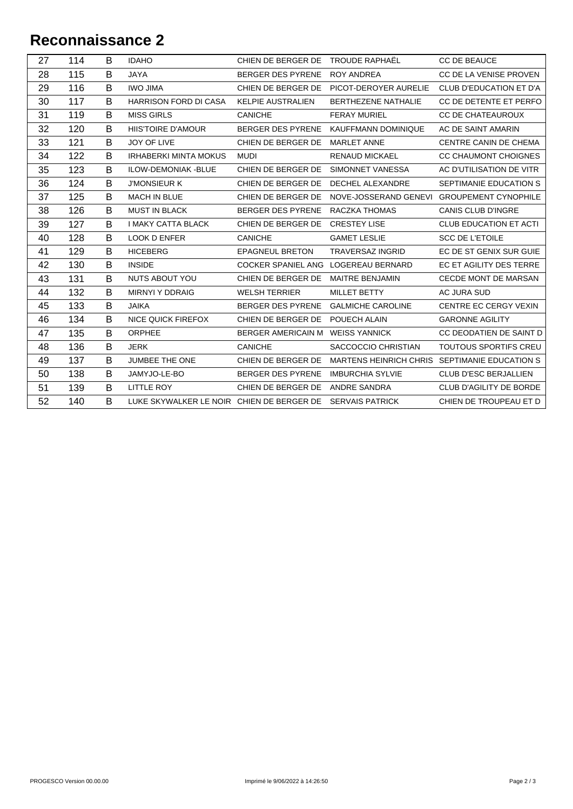| 27 | 114 | B | <b>IDAHO</b>                              | CHIEN DE BERGER DE                  | TROUDE RAPHAËL                                | CC DE BEAUCE                   |
|----|-----|---|-------------------------------------------|-------------------------------------|-----------------------------------------------|--------------------------------|
| 28 | 115 | B | <b>JAYA</b>                               | <b>BERGER DES PYRENE</b>            | <b>ROY ANDREA</b>                             | CC DE LA VENISE PROVEN         |
| 29 | 116 | B | <b>IWO JIMA</b>                           | CHIEN DE BERGER DE                  | PICOT-DEROYER AURELIE                         | <b>CLUB D'EDUCATION ET D'A</b> |
| 30 | 117 | B | <b>HARRISON FORD DI CASA</b>              | <b>KELPIE AUSTRALIEN</b>            | <b>BERTHEZENE NATHALIE</b>                    | CC DE DETENTE ET PERFO         |
| 31 | 119 | B | <b>MISS GIRLS</b>                         | <b>CANICHE</b>                      | <b>FERAY MURIEL</b>                           | <b>CC DE CHATEAUROUX</b>       |
| 32 | 120 | B | HIIS'TOIRE D'AMOUR                        | BERGER DES PYRENE                   | KAUFFMANN DOMINIQUE                           | AC DE SAINT AMARIN             |
| 33 | 121 | B | JOY OF LIVE                               | CHIEN DE BERGER DE                  | <b>MARLET ANNE</b>                            | CENTRE CANIN DE CHEMA          |
| 34 | 122 | B | <b>IRHABERKI MINTA MOKUS</b>              | <b>MUDI</b>                         | <b>RENAUD MICKAEL</b>                         | CC CHAUMONT CHOIGNES           |
| 35 | 123 | B | ILOW-DEMONIAK - BLUE                      | CHIEN DE BERGER DE                  | SIMONNET VANESSA                              | AC D'UTILISATION DE VITR       |
| 36 | 124 | B | <b>J'MONSIEUR K</b>                       | CHIEN DE BERGER DE                  | <b>DECHEL ALEXANDRE</b>                       | SEPTIMANIE EDUCATION S         |
| 37 | 125 | B | <b>MACH IN BLUE</b>                       | CHIEN DE BERGER DE                  | NOVE-JOSSERAND GENEVI GROUPEMENT CYNOPHILE    |                                |
| 38 | 126 | B | <b>MUST IN BLACK</b>                      | BERGER DES PYRENE                   | RACZKA THOMAS                                 | <b>CANIS CLUB D'INGRE</b>      |
| 39 | 127 | B | <b>I MAKY CATTA BLACK</b>                 | CHIEN DE BERGER DE                  | <b>CRESTEY LISE</b>                           | <b>CLUB EDUCATION ET ACTI</b>  |
| 40 | 128 | B | <b>LOOK D ENFER</b>                       | <b>CANICHE</b>                      | <b>GAMET LESLIE</b>                           | <b>SCC DE L'ETOILE</b>         |
| 41 | 129 | B | <b>HICEBERG</b>                           | <b>EPAGNEUL BRETON</b>              | <b>TRAVERSAZ INGRID</b>                       | EC DE ST GENIX SUR GUIE        |
| 42 | 130 | B | <b>INSIDE</b>                             | COCKER SPANIEL ANG LOGEREAU BERNARD |                                               | EC ET AGILITY DES TERRE        |
| 43 | 131 | B | NUTS ABOUT YOU                            | CHIEN DE BERGER DE                  | MAITRE BENJAMIN                               | CECDE MONT DE MARSAN           |
| 44 | 132 | B | <b>MIRNYI Y DDRAIG</b>                    | <b>WELSH TERRIER</b>                | MILLET BETTY                                  | AC JURA SUD                    |
| 45 | 133 | B | <b>JAIKA</b>                              | BERGER DES PYRENE                   | <b>GALMICHE CAROLINE</b>                      | CENTRE EC CERGY VEXIN          |
| 46 | 134 | B | <b>NICE QUICK FIREFOX</b>                 | CHIEN DE BERGER DE                  | POUECH ALAIN                                  | <b>GARONNE AGILITY</b>         |
| 47 | 135 | B | ORPHEE                                    | BERGER AMERICAIN M                  | <b>WEISS YANNICK</b>                          | CC DEODATIEN DE SAINT D        |
| 48 | 136 | B | <b>JERK</b>                               | <b>CANICHE</b>                      | SACCOCCIO CHRISTIAN                           | TOUTOUS SPORTIFS CREU          |
| 49 | 137 | B | JUMBEE THE ONE                            | CHIEN DE BERGER DE                  | MARTENS HEINRICH CHRIS SEPTIMANIE EDUCATION S |                                |
| 50 | 138 | B | JAMYJO-LE-BO                              | <b>BERGER DES PYRENE</b>            | <b>IMBURCHIA SYLVIE</b>                       | CLUB D'ESC BERJALLIEN          |
| 51 | 139 | B | LITTLE ROY                                | CHIEN DE BERGER DE                  | ANDRE SANDRA                                  | CLUB D'AGILITY DE BORDE        |
| 52 | 140 | B | LUKE SKYWALKER LE NOIR CHIEN DE BERGER DE |                                     | <b>SERVAIS PATRICK</b>                        | CHIEN DE TROUPEAU ET D         |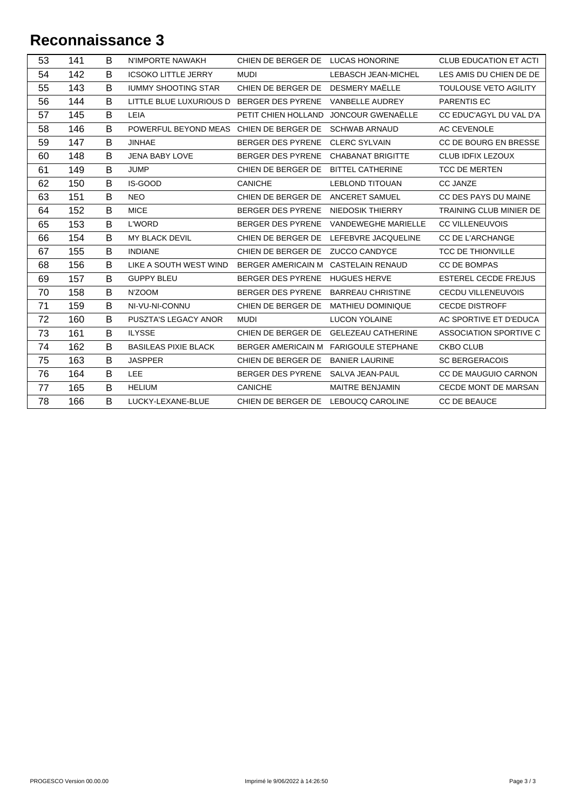| 53 | 141 | B | N'IMPORTE NAWAKH                          | CHIEN DE BERGER DE LUCAS HONORINE   |                                        | <b>CLUB EDUCATION ET ACTI</b> |
|----|-----|---|-------------------------------------------|-------------------------------------|----------------------------------------|-------------------------------|
| 54 | 142 | B | <b>ICSOKO LITTLE JERRY</b>                | <b>MUDI</b>                         | <b>LEBASCH JEAN-MICHEL</b>             | LES AMIS DU CHIEN DE DE       |
| 55 | 143 | B | <b>IUMMY SHOOTING STAR</b>                | CHIEN DE BERGER DE                  | DESMERY MAËLLE                         | TOULOUSE VETO AGILITY         |
| 56 | 144 | B | LITTLE BLUE LUXURIOUS D BERGER DES PYRENE |                                     | VANBELLE AUDREY                        | <b>PARENTIS EC</b>            |
| 57 | 145 | B | LEIA                                      | PETIT CHIEN HOLLAND                 | JONCOUR GWENAËLLE                      | CC EDUC'AGYL DU VAL D'A       |
| 58 | 146 | B | POWERFUL BEYOND MEAS CHIEN DE BERGER DE   |                                     | <b>SCHWAB ARNAUD</b>                   | <b>AC CEVENOLE</b>            |
| 59 | 147 | B | <b>JINHAE</b>                             | BERGER DES PYRENE CLERC SYLVAIN     |                                        | CC DE BOURG EN BRESSE         |
| 60 | 148 | B | <b>JENA BABY LOVE</b>                     | BERGER DES PYRENE                   | <b>CHABANAT BRIGITTE</b>               | <b>CLUB IDFIX LEZOUX</b>      |
| 61 | 149 | B | <b>JUMP</b>                               | CHIEN DE BERGER DE                  | <b>BITTEL CATHERINE</b>                | <b>TCC DE MERTEN</b>          |
| 62 | 150 | B | IS-GOOD                                   | <b>CANICHE</b>                      | <b>LEBLOND TITOUAN</b>                 | <b>CC JANZE</b>               |
| 63 | 151 | B | <b>NEO</b>                                | CHIEN DE BERGER DE                  | <b>ANCERET SAMUEL</b>                  | CC DES PAYS DU MAINE          |
| 64 | 152 | B | <b>MICE</b>                               | BERGER DES PYRENE                   | NIEDOSIK THIERRY                       | TRAINING CLUB MINIER DE       |
| 65 | 153 | B | <b>L'WORD</b>                             | BERGER DES PYRENE                   | <b>VANDEWEGHE MARIELLE</b>             | <b>CC VILLENEUVOIS</b>        |
| 66 | 154 | B | MY BLACK DEVIL                            |                                     | CHIEN DE BERGER DE LEFEBVRE JACQUELINE | <b>CC DE L'ARCHANGE</b>       |
| 67 | 155 | B | <b>INDIANE</b>                            | CHIEN DE BERGER DE                  | <b>ZUCCO CANDYCE</b>                   | <b>TCC DE THIONVILLE</b>      |
| 68 | 156 | B | LIKE A SOUTH WEST WIND                    | <b>BERGER AMERICAIN M</b>           | <b>CASTELAIN RENAUD</b>                | <b>CC DE BOMPAS</b>           |
| 69 | 157 | B | <b>GUPPY BLEU</b>                         | BERGER DES PYRENE                   | <b>HUGUES HERVE</b>                    | <b>ESTEREL CECDE FREJUS</b>   |
| 70 | 158 | B | N'ZOOM                                    | BERGER DES PYRENE                   | <b>BARREAU CHRISTINE</b>               | <b>CECDU VILLENEUVOIS</b>     |
| 71 | 159 | B | NI-VU-NI-CONNU                            | CHIEN DE BERGER DE                  | <b>MATHIEU DOMINIQUE</b>               | <b>CECDE DISTROFF</b>         |
| 72 | 160 | B | PUSZTA'S LEGACY ANOR                      | <b>MUDI</b>                         | <b>LUCON YOLAINE</b>                   | AC SPORTIVE ET D'EDUCA        |
| 73 | 161 | B | <b>ILYSSE</b>                             | CHIEN DE BERGER DE                  | <b>GELEZEAU CATHERINE</b>              | ASSOCIATION SPORTIVE C        |
| 74 | 162 | B | <b>BASILEAS PIXIE BLACK</b>               |                                     | BERGER AMERICAIN M FARIGOULE STEPHANE  | <b>CKBO CLUB</b>              |
| 75 | 163 | B | <b>JASPPER</b>                            | CHIEN DE BERGER DE                  | <b>BANIER LAURINE</b>                  | <b>SC BERGERACOIS</b>         |
| 76 | 164 | B | <b>LEE</b>                                | BERGER DES PYRENE                   | SALVA JEAN-PAUL                        | CC DE MAUGUIO CARNON          |
| 77 | 165 | B | <b>HELIUM</b>                             | <b>CANICHE</b>                      | <b>MAITRE BENJAMIN</b>                 | <b>CECDE MONT DE MARSAN</b>   |
| 78 | 166 | B | LUCKY-LEXANE-BLUE                         | CHIEN DE BERGER DE LEBOUCQ CAROLINE |                                        | CC DE BEAUCE                  |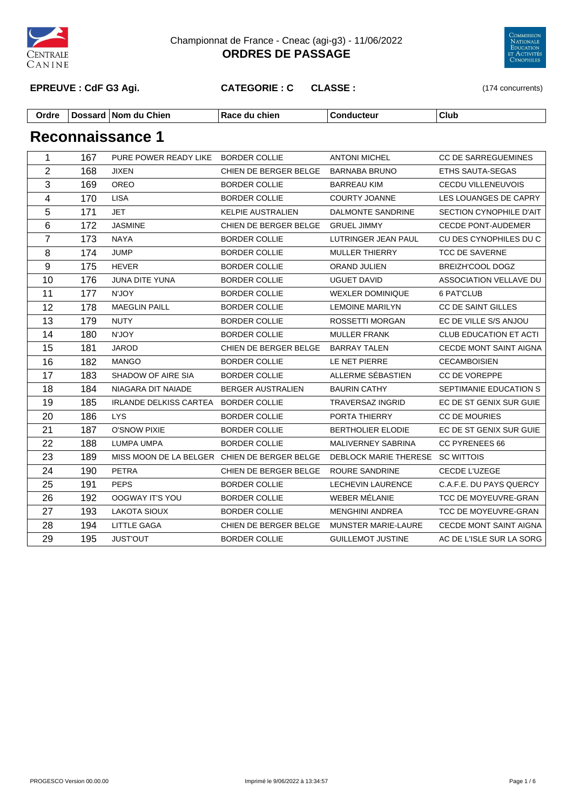

Championnat de France - Cneac (agi-g3) - 11/06/2022 **ORDRES DE PASSAGE**



**EPREUVE : CdF G3 Agi. CATEGORIE : C CLASSE :** (174 concurrents)

| Ordre | Dossaro | Chien<br>.<br>ı Nom alı | chier<br>. | . | Club |
|-------|---------|-------------------------|------------|---|------|
|-------|---------|-------------------------|------------|---|------|

| 1                       | 167 | PURE POWER READY LIKE BORDER COLLIE          |                          | <b>ANTONI MICHEL</b>             | <b>CC DE SARREGUEMINES</b>    |
|-------------------------|-----|----------------------------------------------|--------------------------|----------------------------------|-------------------------------|
| $\overline{2}$          | 168 | <b>JIXEN</b>                                 | CHIEN DE BERGER BELGE    | <b>BARNABA BRUNO</b>             | ETHS SAUTA-SEGAS              |
| 3                       | 169 | <b>OREO</b>                                  | <b>BORDER COLLIE</b>     | <b>BARREAU KIM</b>               | <b>CECDU VILLENEUVOIS</b>     |
| $\overline{\mathbf{4}}$ | 170 | <b>LISA</b>                                  | <b>BORDER COLLIE</b>     | COURTY JOANNE                    | LES LOUANGES DE CAPRY         |
| 5                       | 171 | <b>JET</b>                                   | KELPIE AUSTRALIEN        | <b>DALMONTE SANDRINE</b>         | SECTION CYNOPHILE D'AIT       |
| 6                       | 172 | <b>JASMINE</b>                               | CHIEN DE BERGER BELGE    | <b>GRUEL JIMMY</b>               | <b>CECDE PONT-AUDEMER</b>     |
| $\overline{7}$          | 173 | <b>NAYA</b>                                  | <b>BORDER COLLIE</b>     | LUTRINGER JEAN PAUL              | CU DES CYNOPHILES DU C        |
| 8                       | 174 | <b>JUMP</b>                                  | <b>BORDER COLLIE</b>     | <b>MULLER THIERRY</b>            | <b>TCC DE SAVERNE</b>         |
| 9                       | 175 | <b>HEVER</b>                                 | <b>BORDER COLLIE</b>     | ORAND JULIEN                     | BREIZH'COOL DOGZ              |
| 10                      | 176 | JUNA DITE YUNA                               | <b>BORDER COLLIE</b>     | <b>UGUET DAVID</b>               | ASSOCIATION VELLAVE DU        |
| 11                      | 177 | N'JOY                                        | <b>BORDER COLLIE</b>     | <b>WEXLER DOMINIQUE</b>          | 6 PAT'CLUB                    |
| 12                      | 178 | <b>MAEGLIN PAILL</b>                         | <b>BORDER COLLIE</b>     | <b>LEMOINE MARILYN</b>           | CC DE SAINT GILLES            |
| 13                      | 179 | <b>NUTY</b>                                  | <b>BORDER COLLIE</b>     | ROSSETTI MORGAN                  | EC DE VILLE S/S ANJOU         |
| 14                      | 180 | N'JOY                                        | <b>BORDER COLLIE</b>     | <b>MULLER FRANK</b>              | <b>CLUB EDUCATION ET ACTI</b> |
| 15                      | 181 | <b>JAROD</b>                                 | CHIEN DE BERGER BELGE    | <b>BARRAY TALEN</b>              | CECDE MONT SAINT AIGNA        |
| 16                      | 182 | <b>MANGO</b>                                 | <b>BORDER COLLIE</b>     | LE NET PIERRE                    | <b>CECAMBOISIEN</b>           |
| 17                      | 183 | SHADOW OF AIRE SIA                           | <b>BORDER COLLIE</b>     | ALLERME SÉBASTIEN                | CC DE VOREPPE                 |
| 18                      | 184 | NIAGARA DIT NAIADE                           | <b>BERGER AUSTRALIEN</b> | <b>BAURIN CATHY</b>              | SEPTIMANIE EDUCATION S        |
| 19                      | 185 | <b>IRLANDE DELKISS CARTEA</b>                | <b>BORDER COLLIE</b>     | TRAVERSAZ INGRID                 | EC DE ST GENIX SUR GUIE       |
| 20                      | 186 | <b>LYS</b>                                   | <b>BORDER COLLIE</b>     | PORTA THIERRY                    | <b>CC DE MOURIES</b>          |
| 21                      | 187 | <b>O'SNOW PIXIE</b>                          | <b>BORDER COLLIE</b>     | <b>BERTHOLIER ELODIE</b>         | EC DE ST GENIX SUR GUIE       |
| 22                      | 188 | LUMPA UMPA                                   | <b>BORDER COLLIE</b>     | MALIVERNEY SABRINA               | <b>CC PYRENEES 66</b>         |
| 23                      | 189 | MISS MOON DE LA BELGER CHIEN DE BERGER BELGE |                          | DEBLOCK MARIE THERESE SC WITTOIS |                               |
| 24                      | 190 | <b>PETRA</b>                                 | CHIEN DE BERGER BELGE    | ROURE SANDRINE                   | CECDE L'UZEGE                 |
| 25                      | 191 | <b>PEPS</b>                                  | <b>BORDER COLLIE</b>     | <b>LECHEVIN LAURENCE</b>         | C.A.F.E. DU PAYS QUERCY       |
| 26                      | 192 | OOGWAY IT'S YOU                              | <b>BORDER COLLIE</b>     | WEBER MÉLANIE                    | TCC DE MOYEUVRE-GRAN          |
| 27                      | 193 | <b>LAKOTA SIOUX</b>                          | <b>BORDER COLLIE</b>     | <b>MENGHINI ANDREA</b>           | TCC DE MOYEUVRE-GRAN          |
| 28                      | 194 | LITTLE GAGA                                  | CHIEN DE BERGER BELGE    | <b>MUNSTER MARIE-LAURE</b>       | <b>CECDE MONT SAINT AIGNA</b> |
| 29                      | 195 | <b>JUST'OUT</b>                              | <b>BORDER COLLIE</b>     | <b>GUILLEMOT JUSTINE</b>         | AC DE L'ISLE SUR LA SORG      |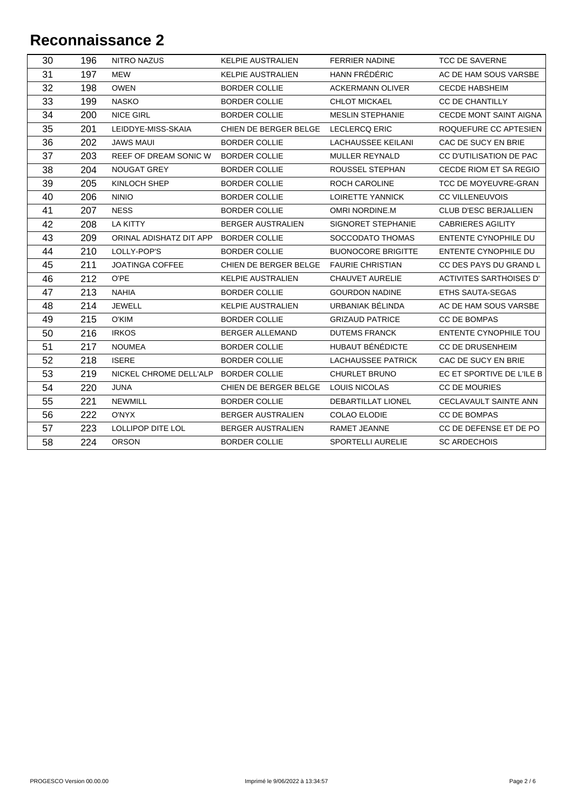| 30 | 196 | <b>NITRO NAZUS</b>       | KELPIE AUSTRALIEN                   | <b>FERRIER NADINE</b>     | <b>TCC DE SAVERNE</b>          |
|----|-----|--------------------------|-------------------------------------|---------------------------|--------------------------------|
| 31 | 197 | MEW                      | <b>KELPIE AUSTRALIEN</b>            | HANN FRÉDÉRIC             | AC DE HAM SOUS VARSBE          |
| 32 | 198 | <b>OWEN</b>              | <b>BORDER COLLIE</b>                | <b>ACKERMANN OLIVER</b>   | <b>CECDE HABSHEIM</b>          |
| 33 | 199 | <b>NASKO</b>             | <b>BORDER COLLIE</b>                | <b>CHLOT MICKAEL</b>      | <b>CC DE CHANTILLY</b>         |
| 34 | 200 | <b>NICE GIRL</b>         | <b>BORDER COLLIE</b>                | <b>MESLIN STEPHANIE</b>   | <b>CECDE MONT SAINT AIGNA</b>  |
| 35 | 201 | LEIDDYE-MISS-SKAIA       | CHIEN DE BERGER BELGE               | <b>LECLERCQ ERIC</b>      | ROQUEFURE CC APTESIEN          |
| 36 | 202 | <b>JAWS MAUI</b>         | <b>BORDER COLLIE</b>                | LACHAUSSEE KEILANI        | CAC DE SUCY EN BRIE            |
| 37 | 203 | REEF OF DREAM SONIC W    | <b>BORDER COLLIE</b>                | MULLER REYNALD            | CC D'UTILISATION DE PAC        |
| 38 | 204 | NOUGAT GREY              | <b>BORDER COLLIE</b>                | ROUSSEL STEPHAN           | CECDE RIOM ET SA REGIO         |
| 39 | 205 | KINLOCH SHEP             | <b>BORDER COLLIE</b>                | ROCH CAROLINE             | TCC DE MOYEUVRE-GRAN           |
| 40 | 206 | <b>NINIO</b>             | <b>BORDER COLLIE</b>                | <b>LOIRETTE YANNICK</b>   | <b>CC VILLENEUVOIS</b>         |
| 41 | 207 | <b>NESS</b>              | <b>BORDER COLLIE</b>                | OMRI NORDINE.M            | CLUB D'ESC BERJALLIEN          |
| 42 | 208 | LA KITTY                 | <b>BERGER AUSTRALIEN</b>            | SIGNORET STEPHANIE        | <b>CABRIERES AGILITY</b>       |
| 43 | 209 | ORINAL ADISHATZ DIT APP  | <b>BORDER COLLIE</b>                | SOCCODATO THOMAS          | ENTENTE CYNOPHILE DU           |
| 44 | 210 | LOLLY-POP'S              | <b>BORDER COLLIE</b>                | <b>BUONOCORE BRIGITTE</b> | <b>ENTENTE CYNOPHILE DU</b>    |
| 45 | 211 | <b>JOATINGA COFFEE</b>   | CHIEN DE BERGER BELGE               | <b>FAURIE CHRISTIAN</b>   | CC DES PAYS DU GRAND L         |
| 46 | 212 | O'PE                     | <b>KELPIE AUSTRALIEN</b>            | <b>CHAUVET AURELIE</b>    | <b>ACTIVITES SARTHOISES D'</b> |
| 47 | 213 | <b>NAHIA</b>             | <b>BORDER COLLIE</b>                | <b>GOURDON NADINE</b>     | ETHS SAUTA-SEGAS               |
| 48 | 214 | JEWELL                   | <b>KELPIE AUSTRALIEN</b>            | URBANIAK BÉLINDA          | AC DE HAM SOUS VARSBE          |
| 49 | 215 | O'KIM                    | <b>BORDER COLLIE</b>                | <b>GRIZAUD PATRICE</b>    | <b>CC DE BOMPAS</b>            |
| 50 | 216 | <b>IRKOS</b>             | <b>BERGER ALLEMAND</b>              | <b>DUTEMS FRANCK</b>      | ENTENTE CYNOPHILE TOU          |
| 51 | 217 | <b>NOUMEA</b>            | <b>BORDER COLLIE</b>                | HUBAUT BÉNÉDICTE          | <b>CC DE DRUSENHEIM</b>        |
| 52 | 218 | <b>ISERE</b>             | <b>BORDER COLLIE</b>                | <b>LACHAUSSEE PATRICK</b> | CAC DE SUCY EN BRIE            |
| 53 | 219 | NICKEL CHROME DELL'ALP   | <b>BORDER COLLIE</b>                | <b>CHURLET BRUNO</b>      | EC ET SPORTIVE DE L'ILE B      |
| 54 | 220 | <b>JUNA</b>              | CHIEN DE BERGER BELGE LOUIS NICOLAS |                           | <b>CC DE MOURIES</b>           |
| 55 | 221 | <b>NEWMILL</b>           | BORDER COLLIE                       | DEBARTILLAT LIONEL        | CECLAVAULT SAINTE ANN          |
| 56 | 222 | O'NYX                    | <b>BERGER AUSTRALIEN</b>            | <b>COLAO ELODIE</b>       | <b>CC DE BOMPAS</b>            |
| 57 | 223 | <b>LOLLIPOP DITE LOL</b> | <b>BERGER AUSTRALIEN</b>            | RAMET JEANNE              | CC DE DEFENSE ET DE PO         |
| 58 | 224 | <b>ORSON</b>             | <b>BORDER COLLIE</b>                | <b>SPORTELLI AURELIE</b>  | <b>SC ARDECHOIS</b>            |
|    |     |                          |                                     |                           |                                |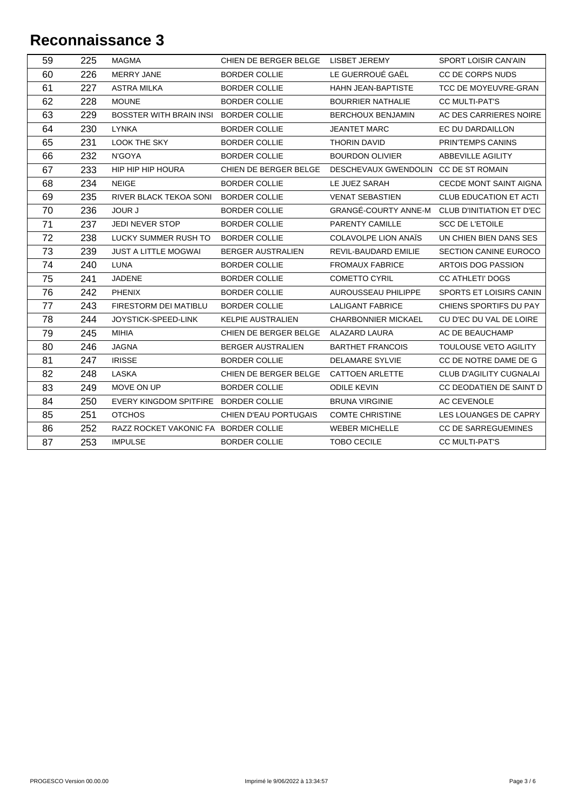| 59 | 225 | <b>MAGMA</b>                         | CHIEN DE BERGER BELGE LISBET JEREMY |                                      | <b>SPORT LOISIR CAN'AIN</b>                    |
|----|-----|--------------------------------------|-------------------------------------|--------------------------------------|------------------------------------------------|
| 60 | 226 | <b>MERRY JANE</b>                    | <b>BORDER COLLIE</b>                | LE GUERROUÉ GAËL                     | CC DE CORPS NUDS                               |
| 61 | 227 | <b>ASTRA MILKA</b>                   | <b>BORDER COLLIE</b>                | HAHN JEAN-BAPTISTE                   | TCC DE MOYEUVRE-GRAN                           |
| 62 | 228 | <b>MOUNE</b>                         | <b>BORDER COLLIE</b>                | <b>BOURRIER NATHALIE</b>             | <b>CC MULTI-PAT'S</b>                          |
| 63 | 229 | <b>BOSSTER WITH BRAIN INSI</b>       | <b>BORDER COLLIE</b>                | <b>BERCHOUX BENJAMIN</b>             | AC DES CARRIERES NOIRE                         |
| 64 | 230 | <b>LYNKA</b>                         | <b>BORDER COLLIE</b>                | <b>JEANTET MARC</b>                  | EC DU DARDAILLON                               |
| 65 | 231 | LOOK THE SKY                         | <b>BORDER COLLIE</b>                | <b>THORIN DAVID</b>                  | PRIN'TEMPS CANINS                              |
| 66 | 232 | N'GOYA                               | <b>BORDER COLLIE</b>                | <b>BOURDON OLIVIER</b>               | ABBEVILLE AGILITY                              |
| 67 | 233 | HIP HIP HIP HOURA                    | CHIEN DE BERGER BELGE               | DESCHEVAUX GWENDOLIN CC DE ST ROMAIN |                                                |
| 68 | 234 | <b>NEIGE</b>                         | <b>BORDER COLLIE</b>                | LE JUEZ SARAH                        | <b>CECDE MONT SAINT AIGNA</b>                  |
| 69 | 235 | RIVER BLACK TEKOA SONI               | <b>BORDER COLLIE</b>                | <b>VENAT SEBASTIEN</b>               | <b>CLUB EDUCATION ET ACTI</b>                  |
| 70 | 236 | <b>JOUR J</b>                        | <b>BORDER COLLIE</b>                |                                      | GRANGÉ-COURTY ANNE-M CLUB D'INITIATION ET D'EC |
| 71 | 237 | JEDI NEVER STOP                      | <b>BORDER COLLIE</b>                | PARENTY CAMILLE                      | <b>SCC DE L'ETOILE</b>                         |
| 72 | 238 | LUCKY SUMMER RUSH TO                 | <b>BORDER COLLIE</b>                | COLAVOLPE LION ANAÏS                 | UN CHIEN BIEN DANS SES                         |
| 73 | 239 | JUST A LITTLE MOGWAI                 | <b>BERGER AUSTRALIEN</b>            | REVIL-BAUDARD EMILIE                 | <b>SECTION CANINE EUROCO</b>                   |
| 74 | 240 | <b>LUNA</b>                          | <b>BORDER COLLIE</b>                | <b>FROMAUX FABRICE</b>               | ARTOIS DOG PASSION                             |
| 75 | 241 | JADENE                               | <b>BORDER COLLIE</b>                | <b>COMETTO CYRIL</b>                 | <b>CC ATHLETI' DOGS</b>                        |
| 76 | 242 | <b>PHENIX</b>                        | <b>BORDER COLLIE</b>                | AUROUSSEAU PHILIPPE                  | SPORTS ET LOISIRS CANIN                        |
| 77 | 243 | FIRESTORM DEI MATIBLU                | <b>BORDER COLLIE</b>                | <b>LALIGANT FABRICE</b>              | CHIENS SPORTIFS DU PAY                         |
| 78 | 244 | JOYSTICK-SPEED-LINK                  | <b>KELPIE AUSTRALIEN</b>            | <b>CHARBONNIER MICKAEL</b>           | CU D'EC DU VAL DE LOIRE                        |
| 79 | 245 | <b>MIHIA</b>                         | CHIEN DE BERGER BELGE               | ALAZARD LAURA                        | AC DE BEAUCHAMP                                |
| 80 | 246 | <b>JAGNA</b>                         | <b>BERGER AUSTRALIEN</b>            | <b>BARTHET FRANCOIS</b>              | TOULOUSE VETO AGILITY                          |
| 81 | 247 | <b>IRISSE</b>                        | <b>BORDER COLLIE</b>                | <b>DELAMARE SYLVIE</b>               | CC DE NOTRE DAME DE G                          |
| 82 | 248 | LASKA                                | CHIEN DE BERGER BELGE               | CATTOEN ARLETTE                      | CLUB D'AGILITY CUGNALAI                        |
| 83 | 249 | MOVE ON UP                           | <b>BORDER COLLIE</b>                | <b>ODILE KEVIN</b>                   | CC DEODATIEN DE SAINT D                        |
| 84 | 250 | EVERY KINGDOM SPITFIRE BORDER COLLIE |                                     | <b>BRUNA VIRGINIE</b>                | AC CEVENOLE                                    |
| 85 | 251 | <b>OTCHOS</b>                        | <b>CHIEN D'EAU PORTUGAIS</b>        | <b>COMTE CHRISTINE</b>               | LES LOUANGES DE CAPRY                          |
| 86 | 252 | RAZZ ROCKET VAKONIC FA BORDER COLLIE |                                     | <b>WEBER MICHELLE</b>                | <b>CC DE SARREGUEMINES</b>                     |
| 87 | 253 | <b>IMPULSE</b>                       | <b>BORDER COLLIE</b>                | <b>TOBO CECILE</b>                   | <b>CC MULTI-PAT'S</b>                          |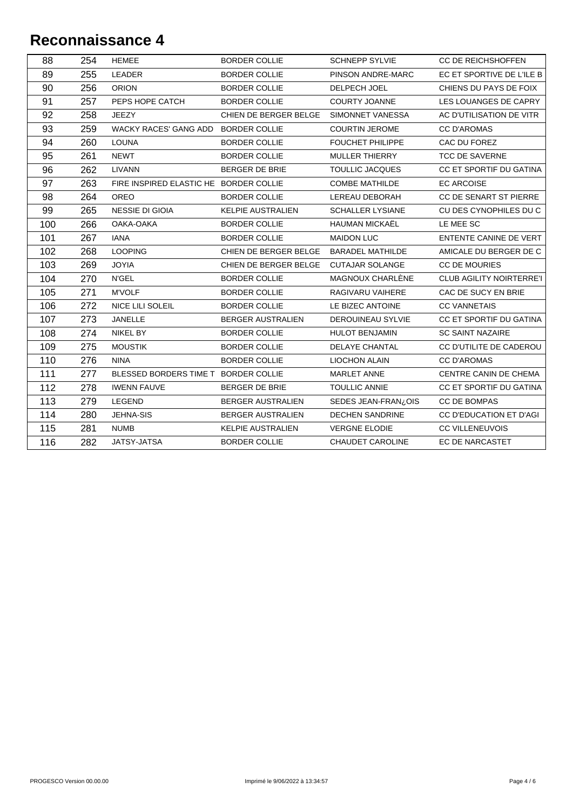| 89<br>LEADER<br>255<br>PINSON ANDRE-MARC<br>EC ET SPORTIVE DE L'ILE B<br><b>BORDER COLLIE</b><br>90<br>256<br><b>ORION</b><br><b>BORDER COLLIE</b><br>DELPECH JOEL<br>CHIENS DU PAYS DE FOIX<br>91<br>257<br>PEPS HOPE CATCH<br><b>BORDER COLLIE</b><br><b>COURTY JOANNE</b><br>LES LOUANGES DE CAPRY<br>92<br>258<br><b>JEEZY</b><br>CHIEN DE BERGER BELGE<br>AC D'UTILISATION DE VITR<br>SIMONNET VANESSA<br>93<br>259<br><b>WACKY RACES' GANG ADD</b><br><b>BORDER COLLIE</b><br><b>COURTIN JEROME</b><br><b>CC D'AROMAS</b><br>94<br>260<br><b>LOUNA</b><br><b>BORDER COLLIE</b><br><b>FOUCHET PHILIPPE</b><br>CAC DU FOREZ<br>95<br>261<br><b>NEWT</b><br><b>BORDER COLLIE</b><br><b>MULLER THIERRY</b><br><b>TCC DE SAVERNE</b> |                               |
|---------------------------------------------------------------------------------------------------------------------------------------------------------------------------------------------------------------------------------------------------------------------------------------------------------------------------------------------------------------------------------------------------------------------------------------------------------------------------------------------------------------------------------------------------------------------------------------------------------------------------------------------------------------------------------------------------------------------------------------|-------------------------------|
|                                                                                                                                                                                                                                                                                                                                                                                                                                                                                                                                                                                                                                                                                                                                       |                               |
|                                                                                                                                                                                                                                                                                                                                                                                                                                                                                                                                                                                                                                                                                                                                       |                               |
|                                                                                                                                                                                                                                                                                                                                                                                                                                                                                                                                                                                                                                                                                                                                       |                               |
|                                                                                                                                                                                                                                                                                                                                                                                                                                                                                                                                                                                                                                                                                                                                       |                               |
|                                                                                                                                                                                                                                                                                                                                                                                                                                                                                                                                                                                                                                                                                                                                       |                               |
|                                                                                                                                                                                                                                                                                                                                                                                                                                                                                                                                                                                                                                                                                                                                       |                               |
|                                                                                                                                                                                                                                                                                                                                                                                                                                                                                                                                                                                                                                                                                                                                       |                               |
| 96<br>262<br>LIVANN<br><b>BERGER DE BRIE</b><br><b>TOULLIC JACQUES</b><br>CC ET SPORTIF DU GATINA                                                                                                                                                                                                                                                                                                                                                                                                                                                                                                                                                                                                                                     |                               |
| 97<br>263<br>FIRE INSPIRED ELASTIC HE BORDER COLLIE<br><b>COMBE MATHILDE</b><br><b>EC ARCOISE</b>                                                                                                                                                                                                                                                                                                                                                                                                                                                                                                                                                                                                                                     |                               |
| 98<br>264<br><b>OREO</b><br><b>BORDER COLLIE</b><br>LEREAU DEBORAH<br>CC DE SENART ST PIERRE                                                                                                                                                                                                                                                                                                                                                                                                                                                                                                                                                                                                                                          |                               |
| 99<br>265<br><b>NESSIE DI GIOIA</b><br><b>KELPIE AUSTRALIEN</b><br><b>SCHALLER LYSIANE</b><br>CU DES CYNOPHILES DU C                                                                                                                                                                                                                                                                                                                                                                                                                                                                                                                                                                                                                  |                               |
| 100<br>266<br>HAUMAN MICKAËL<br>OAKA-OAKA<br><b>BORDER COLLIE</b><br>LE MEE SC                                                                                                                                                                                                                                                                                                                                                                                                                                                                                                                                                                                                                                                        |                               |
| 101<br>267<br><b>IANA</b><br><b>BORDER COLLIE</b><br><b>MAIDON LUC</b>                                                                                                                                                                                                                                                                                                                                                                                                                                                                                                                                                                                                                                                                | <b>ENTENTE CANINE DE VERT</b> |
| 102<br>268<br><b>LOOPING</b><br>CHIEN DE BERGER BELGE<br><b>BARADEL MATHILDE</b>                                                                                                                                                                                                                                                                                                                                                                                                                                                                                                                                                                                                                                                      | AMICALE DU BERGER DE C        |
| 103<br>269<br><b>JOYIA</b><br>CHIEN DE BERGER BELGE<br><b>CUTAJAR SOLANGE</b><br><b>CC DE MOURIES</b>                                                                                                                                                                                                                                                                                                                                                                                                                                                                                                                                                                                                                                 |                               |
| 270<br>104<br>MAGNOUX CHARLÈNE<br><b>N'GEL</b><br><b>BORDER COLLIE</b><br><b>CLUB AGILITY NOIRTERRE'I</b>                                                                                                                                                                                                                                                                                                                                                                                                                                                                                                                                                                                                                             |                               |
| 105<br>271<br><b>M'VOLF</b><br><b>BORDER COLLIE</b><br>RAGIVARU VAIHERE<br>CAC DE SUCY EN BRIE                                                                                                                                                                                                                                                                                                                                                                                                                                                                                                                                                                                                                                        |                               |
| 272<br>106<br><b>CC VANNETAIS</b><br>NICE LILI SOLEIL<br><b>BORDER COLLIE</b><br>LE BIZEC ANTOINE                                                                                                                                                                                                                                                                                                                                                                                                                                                                                                                                                                                                                                     |                               |
| 107<br>273<br>CC ET SPORTIF DU GATINA<br><b>JANELLE</b><br><b>BERGER AUSTRALIEN</b><br><b>DEROUINEAU SYLVIE</b>                                                                                                                                                                                                                                                                                                                                                                                                                                                                                                                                                                                                                       |                               |
| 108<br>274<br><b>NIKEL BY</b><br><b>SC SAINT NAZAIRE</b><br><b>BORDER COLLIE</b><br><b>HULOT BENJAMIN</b>                                                                                                                                                                                                                                                                                                                                                                                                                                                                                                                                                                                                                             |                               |
| 109<br>275<br><b>MOUSTIK</b><br><b>BORDER COLLIE</b><br>CC D'UTILITE DE CADEROU<br><b>DELAYE CHANTAL</b>                                                                                                                                                                                                                                                                                                                                                                                                                                                                                                                                                                                                                              |                               |
| 110<br>276<br><b>NINA</b><br><b>BORDER COLLIE</b><br>LIOCHON ALAIN<br><b>CC D'AROMAS</b>                                                                                                                                                                                                                                                                                                                                                                                                                                                                                                                                                                                                                                              |                               |
| 111<br>277<br>BLESSED BORDERS TIME T BORDER COLLIE<br>CENTRE CANIN DE CHEMA<br>MARLET ANNE                                                                                                                                                                                                                                                                                                                                                                                                                                                                                                                                                                                                                                            |                               |
| 112<br>278<br><b>IWENN FAUVE</b><br><b>BERGER DE BRIE</b><br><b>TOULLIC ANNIE</b><br>CC ET SPORTIF DU GATINA                                                                                                                                                                                                                                                                                                                                                                                                                                                                                                                                                                                                                          |                               |
| 113<br>279<br>LEGEND<br>CC DE BOMPAS<br>BERGER AUSTRALIEN<br>SEDES JEAN-FRAN¿OIS                                                                                                                                                                                                                                                                                                                                                                                                                                                                                                                                                                                                                                                      |                               |
| 114<br>280<br>JEHNA-SIS<br><b>DECHEN SANDRINE</b><br>CC D'EDUCATION ET D'AGI<br>BERGER AUSTRALIEN                                                                                                                                                                                                                                                                                                                                                                                                                                                                                                                                                                                                                                     |                               |
| 115<br>281<br><b>NUMB</b><br><b>KELPIE AUSTRALIEN</b><br><b>VERGNE ELODIE</b><br><b>CC VILLENEUVOIS</b>                                                                                                                                                                                                                                                                                                                                                                                                                                                                                                                                                                                                                               |                               |
| 116<br>282<br>JATSY-JATSA<br><b>BORDER COLLIE</b><br><b>CHAUDET CAROLINE</b><br>EC DE NARCASTET                                                                                                                                                                                                                                                                                                                                                                                                                                                                                                                                                                                                                                       |                               |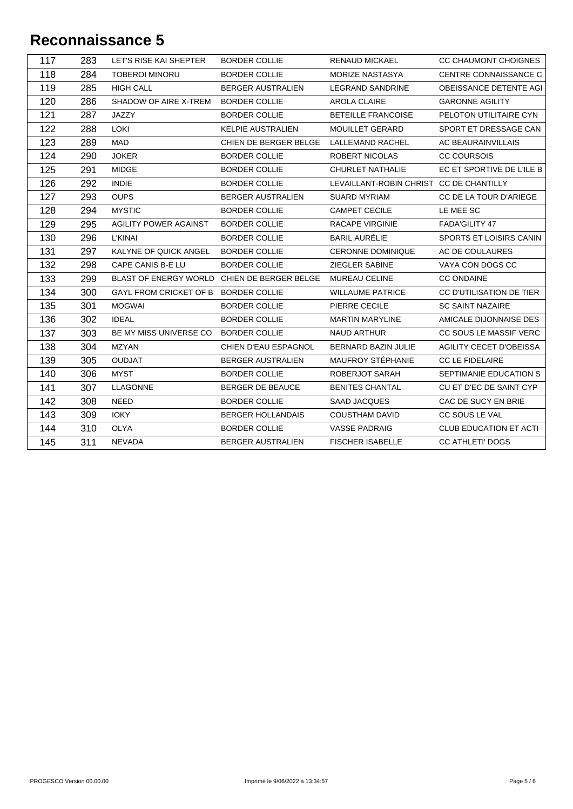| 117 | 283 | LET'S RISE KAI SHEPTER                      | <b>BORDER COLLIE</b>     | <b>RENAUD MICKAEL</b>                   | CC CHAUMONT CHOIGNES           |
|-----|-----|---------------------------------------------|--------------------------|-----------------------------------------|--------------------------------|
| 118 | 284 | <b>TOBEROI MINORU</b>                       | <b>BORDER COLLIE</b>     | MORIZE NASTASYA                         | CENTRE CONNAISSANCE C          |
| 119 | 285 | <b>HIGH CALL</b>                            | <b>BERGER AUSTRALIEN</b> | <b>LEGRAND SANDRINE</b>                 | OBEISSANCE DETENTE AGI         |
| 120 | 286 | SHADOW OF AIRE X-TREM                       | <b>BORDER COLLIE</b>     | AROLA CLAIRE                            | <b>GARONNE AGILITY</b>         |
| 121 | 287 | JAZZY                                       | <b>BORDER COLLIE</b>     | <b>BETEILLE FRANCOISE</b>               | PELOTON UTILITAIRE CYN         |
| 122 | 288 | <b>LOKI</b>                                 | <b>KELPIE AUSTRALIEN</b> | <b>MOUILLET GERARD</b>                  | SPORT ET DRESSAGE CAN          |
| 123 | 289 | <b>MAD</b>                                  | CHIEN DE BERGER BELGE    | <b>LALLEMAND RACHEL</b>                 | AC BEAURAINVILLAIS             |
| 124 | 290 | <b>JOKER</b>                                | <b>BORDER COLLIE</b>     | ROBERT NICOLAS                          | <b>CC COURSOIS</b>             |
| 125 | 291 | <b>MIDGE</b>                                | <b>BORDER COLLIE</b>     | CHURLET NATHALIE                        | EC ET SPORTIVE DE L'ILE B      |
| 126 | 292 | <b>INDIE</b>                                | <b>BORDER COLLIE</b>     | LEVAILLANT-ROBIN CHRIST CC DE CHANTILLY |                                |
| 127 | 293 | <b>OUPS</b>                                 | <b>BERGER AUSTRALIEN</b> | <b>SUARD MYRIAM</b>                     | CC DE LA TOUR D'ARIEGE         |
| 128 | 294 | <b>MYSTIC</b>                               | <b>BORDER COLLIE</b>     | <b>CAMPET CECILE</b>                    | LE MEE SC                      |
| 129 | 295 | AGILITY POWER AGAINST                       | <b>BORDER COLLIE</b>     | <b>RACAPE VIRGINIE</b>                  | FADA'GILITY 47                 |
| 130 | 296 | <b>L'KINAI</b>                              | <b>BORDER COLLIE</b>     | <b>BARIL AURÉLIE</b>                    | SPORTS ET LOISIRS CANIN        |
| 131 | 297 | KALYNE OF QUICK ANGEL                       | <b>BORDER COLLIE</b>     | <b>CERONNE DOMINIQUE</b>                | AC DE COULAURES                |
| 132 | 298 | CAPE CANIS B-E LU                           | <b>BORDER COLLIE</b>     | ZIEGLER SABINE                          | VAYA CON DOGS CC               |
| 133 | 299 | BLAST OF ENERGY WORLD CHIEN DE BERGER BELGE |                          | MUREAU CELINE                           | <b>CC ONDAINE</b>              |
| 134 | 300 | GAYL FROM CRICKET OF B BORDER COLLIE        |                          | <b>WILLAUME PATRICE</b>                 | CC D'UTILISATION DE TIER       |
| 135 | 301 | <b>MOGWAI</b>                               | <b>BORDER COLLIE</b>     | PIERRE CECILE                           | <b>SC SAINT NAZAIRE</b>        |
| 136 | 302 | <b>IDEAL</b>                                | <b>BORDER COLLIE</b>     | <b>MARTIN MARYLINE</b>                  | AMICALE DIJONNAISE DES         |
| 137 | 303 | BE MY MISS UNIVERSE CO                      | <b>BORDER COLLIE</b>     | <b>NAUD ARTHUR</b>                      | CC SOUS LE MASSIF VERC         |
| 138 | 304 | <b>MZYAN</b>                                | CHIEN D'EAU ESPAGNOL     | BERNARD BAZIN JULIE                     | <b>AGILITY CECET D'OBEISSA</b> |
| 139 | 305 | <b>OUDJAT</b>                               | <b>BERGER AUSTRALIEN</b> | MAUFROY STÉPHANIE                       | CC LE FIDELAIRE                |
| 140 | 306 | <b>MYST</b>                                 | <b>BORDER COLLIE</b>     | ROBERJOT SARAH                          | SEPTIMANIE EDUCATION S         |
| 141 | 307 | <b>LLAGONNE</b>                             | <b>BERGER DE BEAUCE</b>  | <b>BENITES CHANTAL</b>                  | CU ET D'EC DE SAINT CYP        |
| 142 | 308 | <b>NEED</b>                                 | <b>BORDER COLLIE</b>     | <b>SAAD JACQUES</b>                     | CAC DE SUCY EN BRIE            |
| 143 | 309 | <b>IOKY</b>                                 | <b>BERGER HOLLANDAIS</b> | <b>COUSTHAM DAVID</b>                   | CC SOUS LE VAL                 |
| 144 | 310 | <b>OLYA</b>                                 | <b>BORDER COLLIE</b>     | <b>VASSE PADRAIG</b>                    | <b>CLUB EDUCATION ET ACTI</b>  |
| 145 | 311 | <b>NEVADA</b>                               | <b>BERGER AUSTRALIEN</b> | <b>FISCHER ISABELLE</b>                 | <b>CC ATHLETI' DOGS</b>        |
|     |     |                                             |                          |                                         |                                |